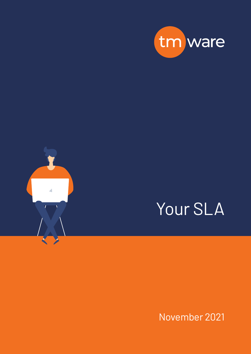



# Your SLA

November 2021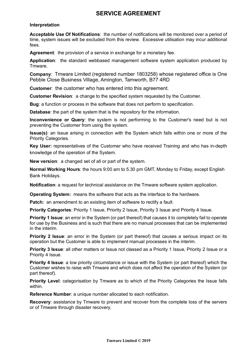## **SERVICE AGREEMENT**

## **Interpretation**

**Acceptable Use Of Notifications**: the number of notifications will be monitored over a period of time, system issues will be excluded from this review. Excessive utilisation may incur additional fees.

**Agreement**: the provision of a service in exchange for a monetary fee.

**Application**: the standard webbased management software system application produced by Tmware.

**Company**: Tmware Limited (registered number 1803258) whose registered office is One Pebble Close Business Village, Amington, Tamworth, B77 4RD

**Customer**: the customer who has entered into this agreement.

**Customer Revision**: a change to the specified system requested by the Customer.

**Bug**: a function or process in the software that does not perform to specification.

**Database**: the part of the system that is the repository for the information.

**Inconvenience or Query**: the system is not performing to the Customer's need but is not preventing the Customer from using the system.

**Issue(s)**: an Issue arising in connection with the System which falls within one or more of the Priority Categories.

**Key User:** representatives of the Customer who have received Training and who has in-depth knowledge of the operation of the System.

**New version**: a changed set of all or part of the system.

**Normal Working Hours**: the hours 9:00 am to 5.30 pm GMT, Monday to Friday, except English Bank Holidays.

**Notification**: a request for technical assistance on the Tmware software system application.

**Operating System:** means the software that acts as the interface to the hardware.

**Patch:** an amendment to an existing item of software to rectify a fault.

**Priority Categories: Priority 1 Issue, Priority 2 Issue, Priority 3 Issue and Priority 4 Issue.** 

**Priority 1 Issue**: an error in the System (or part thereof) that causes it to completely fail to operate for use by the Business and is such that there are no manual processes that can be implemented in the interim.

**Priority 2 Issue:** an error in the System (or part thereof) that causes a serious impact on its operation but the Customer is able to implement manual processes in the interim.

**Priority 3 Issue:** all other matters or Issue not classed as a Priority 1 Issue, Priority 2 Issue or a Priority 4 Issue.

**Priority 4 Issue**: a low priority circumstance or issue with the System (or part thereof) which the Customer wishes to raise with Tmware and which does not affect the operation of the System (or part thereof).

**Priority Level:** categorisation by Tmware as to which of the Priority Categories the Issue falls within.

**Reference Number**: a unique number allocated to each notification.

**Recovery**: assistance by Tmware to prevent and recover from the complete loss of the servers or of Tmware through disaster recovery.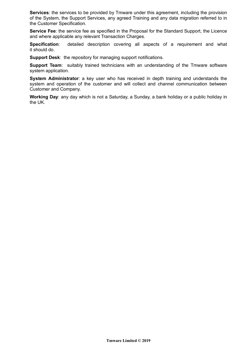**Services:** the services to be provided by Tmware under this agreement, including the provision of the System, the Support Services, any agreed Training and any data migration referred to in the Customer Specification.

**Service Fee**: the service fee as specified in the Proposal for the Standard Support, the Licence and where applicable any relevant Transaction Charges.

**Specification**: detailed description covering all aspects of a requirement and what it should do.

**Support Desk:** the repository for managing support notifications.

**Support Team:** suitably trained technicians with an understanding of the Tmware software system application.

**System Administrator**: a key user who has received in depth training and understands the system and operation of the customer and will collect and channel communication between Customer and Company.

**Working Day**: any day which is not a Saturday, a Sunday, a bank holiday or a public holiday in the UK.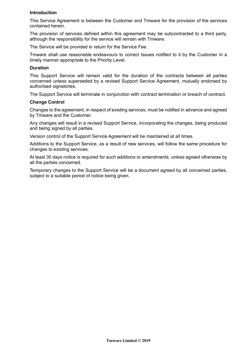## **Introduction**

This Service Agreement is between the Customer and Tmware for the provision of the services contained herein.

The provision of services defined within this agreement may be subcontracted to a third party, although the responsibility for the service will remain with Tmware.

The Service will be provided in return for the Service Fee.

Tmware shall use reasonable endeavours to correct Issues notified to it by the Customer in a timely manner appropriate to the Priority Level.

## **Duration**

This Support Service will remain valid for the duration of the contracts between all parties concerned unless superseded by a revised Support Service Agreement, mutually endorsed by authorised signatories.

The Support Service will terminate in conjunction with contract termination or breach of contract.

## **Change Control**

Changes to the agreement, in respect of existing services, must be notified in advance and agreed by Tmware and the Customer.

Any changes will result in a revised Support Service, incorporating the changes, being produced and being signed by all parties.

Version control of the Support Service Agreement will be maintained at all times.

Additions to the Support Service, as a result of new services, will follow the same procedure for changes to existing services.

At least 30 days notice is required for such additions or amendments, unless agreed otherwise by all the parties concerned.

Temporary changes to the Support Service will be a document agreed by all concerned parties, subject to a suitable period of notice being given.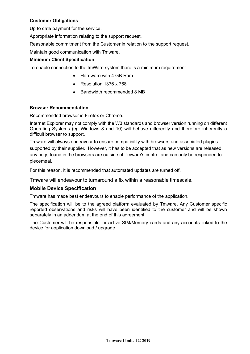## **Customer Obligations**

Up to date payment for the service.

Appropriate information relating to the support request.

Reasonable commitment from the Customer in relation to the support request.

Maintain good communication with Tmware.

## **Minimum Client Specification**

To enable connection to the tmWare system there is a minimum requirement

- Hardware with 4 GB Ram
- Resolution 1376 x 768
- Bandwidth recommended 8 MB

## **Browser Recommendation**

Recommended browser is Firefox or Chrome.

Internet Explorer may not comply with the W3 standards and browser version running on different Operating Systems (eg Windows 8 and 10) will behave differently and therefore inherently a difficult browser to support.

Tmware will always endeavour to ensure compatibility with browsers and associated plugins supported by their supplier. However, it has to be accepted that as new versions are released, any bugs found in the browsers are outside of Tmware's control and can only be responded to piecemeal.

For this reason, it is recommended that automated updates are turned off.

Tmware will endeavour to turnaround a fix within a reasonable timescale.

## **Mobile Device Specification**

Tmware has made best endeavours to enable performance of the application.

The specification will be to the agreed platform evaluated by Tmware. Any Customer specific reported observations and risks will have been identified to the customer and will be shown separately in an addendum at the end of this agreement.

The Customer will be responsible for active SIM/Memory cards and any accounts linked to the device for application download / upgrade.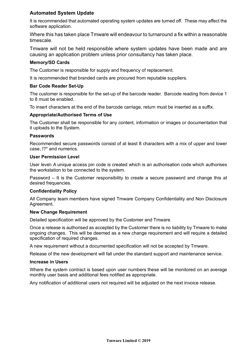## **Automated System Update**

It is recommended that automated operating system updates are turned off. These may affect the software application.

Where this has taken place Tmware will endeavour to turnaround a fix within a reasonable timescale.

Tmware will not be held responsible where system updates have been made and are causing an application problem unless prior consultancy has taken place.

## **Memory/SD Cards**

The Customer is responsible for supply and frequency of replacement.

It is recommended that branded cards are procured from reputable suppliers.

## **Bar Code Reader Set-Up**

The customer is responsible for the set-up of the barcode reader. Barcode reading from device 1 to 8 must be enabled.

To insert characters at the end of the barcode carriage, return must be inserted as a suffix.

## **Appropriate/Authorised Terms of Use**

The Customer shall be responsible for any content, information or images or documentation that it uploads to the System.

#### **Passwords**

Recommended secure passwords consist of at least 8 characters with a mix of upper and lower case, !?\* and numerics.

#### **User Permission Level**

User level- A unique access pin code is created which is an authorisation code which authorises the workstation to be connected to the system.

Password – It is the Customer responsibility to create a secure password and change this at desired frequencies.

#### **Confidentiality Policy**

All Company team members have signed Tmware Company Confidentiality and Non Disclosure Agreement.

#### **New Change Requirement**

Detailed specification will be approved by the Customer and Tmware.

Once a release is authorised as accepted by the Customer there is no liability by Tmware to make ongoing changes. This will be deemed as a new change requirement and will require a detailed specification of required changes.

A new requirement without a documented specification will not be accepted by Tmware.

Release of the new development will fall under the standard support and maintenance service.

#### **Increase in Users**

Where the system contract is based upon user numbers these will be monitored on an average monthly user basis and additional fees notified as appropriate.

Any notification of additional users not required will be adjusted on the next invoice release.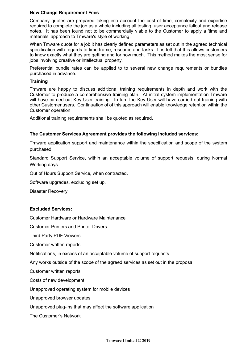## **New Change Requirement Fees**

Company quotes are prepared taking into account the cost of time, complexity and expertise required to complete the job as a whole including all testing, user acceptance fallout and release notes. It has been found not to be commercially viable to the Customer to apply a 'time and materials' approach to Tmware's style of working.

When Tmware quote for a job it has clearly defined parameters as set out in the agreed technical specification with regards to time frame, resource and tasks. It is felt that this allows customers to know exactly what they are getting and for how much. This method makes the most sense for jobs involving creative or intellectual property.

Preferential bundle rates can be applied to to several new change requirements or bundles purchased in advance.

## **Training**

Tmware are happy to discuss additional training requirements in depth and work with the Customer to produce a comprehensive training plan. At initial system implementation Tmware will have carried out Key User training. In turn the Key User will have carried out training with other Customer users. Continuation of of this approach will enable knowledge retention within the Customer operation.

Additional training requirements shall be quoted as required.

## **The Customer Services Agreement provides the following included services:**

Tmware application support and maintenance within the specification and scope of the system purchased.

Standard Support Service, within an acceptable volume of support requests, during Normal Working days.

Out of Hours Support Service, when contracted.

Software upgrades, excluding set up.

Disaster Recovery

## **Excluded Services:**

Customer Hardware or Hardware Maintenance

Customer Printers and Printer Drivers

Third Party PDF Viewers

Customer written reports

Notifications, in excess of an acceptable volume of support requests

Any works outside of the scope of the agreed services as set out in the proposal

Customer written reports

Costs of new development

Unapproved operating system for mobile devices

Unapproved browser updates

Unapproved plug-ins that may affect the software application

The Customer's Network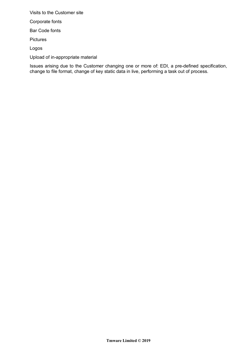Visits to the Customer site

Corporate fonts

Bar Code fonts

Pictures

Logos

Upload of in-appropriate material

Issues arising due to the Customer changing one or more of: EDI, a pre-defined specification, change to file format, change of key static data in live, performing a task out of process.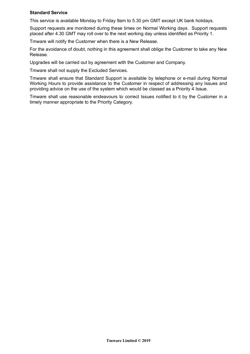## **Standard Service**

This service is available Monday to Friday 9am to 5.30 pm GMT except UK bank holidays.

Support requests are monitored during these times on Normal Working days. Support requests placed after 4.30 GMT may roll over to the next working day unless identified as Priority 1.

Tmware will notify the Customer when there is a New Release.

For the avoidance of doubt, nothing in this agreement shall oblige the Customer to take any New Release.

Upgrades will be carried out by agreement with the Customer and Company.

Tmware shall not supply the Excluded Services.

Tmware shall ensure that Standard Support is available by telephone or e-mail during Normal Working Hours to provide assistance to the Customer in respect of addressing any Issues and providing advice on the use of the system which would be classed as a Priority 4 Issue.

Tmware shall use reasonable endeavours to correct Issues notified to it by the Customer in a timely manner appropriate to the Priority Category.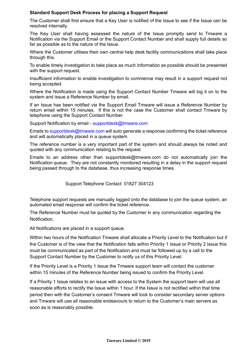## **Standard Support Desk Process for placing a Support Request**

The Customer shall first ensure that a Key User is notified of the Issue to see if the Issue can be resolved internally.

The Key User shall having assessed the nature of the Issue promptly send to Tmware a Notification via the Support Email or the Support Contact Number and shall supply full details so far as possible as to the nature of the Issue.

Where the Customer utilises their own central help desk facility communications shall take place through this.

To enable timely investigation to take place as much information as possible should be presented with the support request.

Insufficient information to enable investigation to commence may result in a support request not being accepted.

Where the Notification is made using the Support Contact Number Tmware will log it on to the system and issue a Reference Number by email.

If an Issue has been notified via the Support Email Tmware will issue a Reference Number by return email within 15 minutes. If this is not the case the Customer shall contact Tmware by telephone using the Support Contact Number.

Support Notification by email - supportdesk@tmware.com

Emails to supportdesk@tmware.com will auto generate a response confirming the ticket reference and will automatically placed in a queue system.

The reference number is a very important part of the system and should always be noted and quoted with any communication relating to the request.

Emails to an address other than supportdesk@tmware.com do not automatically join the Notification queue. They are not constantly monitored resulting in a delay in the support request being passed through to the database, thus increasing response times.

Support Telephone Contact 01827 304123

Telephone support requests are manually logged onto the database to join the queue system, an automated email response will confirm the ticket reference.

The Reference Number must be quoted by the Customer in any communication regarding the Notification.

All Notifications are placed in a support queue.

Within two hours of the Notification Tmware shall allocate a Priority Level to the Notification but if the Customer is of the view that the Notification falls within Priority 1 Issue or Priority 2 Issue this must be communicated as part of the Notification and must be followed up by a call to the Support Contact Number by the Customer to notify us of this Priority Level.

If the Priority Level is a Priority 1 Issue the Tmware support team will contact the customer within 15 minutes of the Reference Number being issued to confirm the Priority Level.

If a Priority 1 Issue relates to an issue with access to the System the support team will use all reasonable efforts to rectify the Issue within 1 hour. If the Issue is not rectified within that time period then with the Customer's consent Tmware will look to consider secondary server options and Tmware will use all reasonable endeavours to return to the Customer's main servers as soon as is reasonably possible.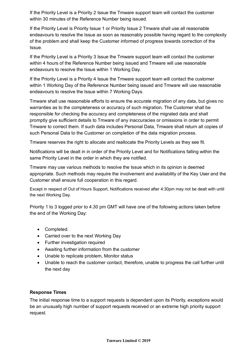If the Priority Level is a Priority 2 Issue the Tmware support team will contact the customer within 30 minutes of the Reference Number being issued.

If the Priority Level is Priority Issue 1 or Priority Issue 2 Tmware shall use all reasonable endeavours to resolve the Issue as soon as reasonably possible having regard to the complexity of the problem and shall keep the Customer informed of progress towards correction of the Issue.

If the Priority Level is a Priority 3 Issue the Tmware support team will contact the customer within 4 hours of the Reference Number being issued and Tmware will use reasonable endeavours to resolve the Issue within 1 Working Day.

If the Priority Level is a Priority 4 Issue the Tmware support team will contact the customer within 1 Working Day of the Reference Number being issued and Tmware will use reasonable endeavours to resolve the Issue within 7 Working Days.

Tmware shall use reasonable efforts to ensure the accurate migration of any data, but gives no warranties as to the completeness or accuracy of such migration. The Customer shall be responsible for checking the accuracy and completeness of the migrated data and shall promptly give sufficient details to Tmware of any inaccuracies or omissions in order to permit Tmware to correct them. If such data includes Personal Data, Tmware shall return all copies of such Personal Data to the Customer on completion of the data migration process.

Tmware reserves the right to allocate and reallocate the Priority Levels as they see fit.

Notifications will be dealt in in order of the Priority Level and for Notifications falling within the same Priority Level in the order in which they are notified.

Tmware may use various methods to resolve the Issue which in its opinion is deemed appropriate. Such methods may require the involvement and availability of the Key User and the Customer shall ensure full cooperation in this regard.

Except in respect of Out of Hours Support, Notifications received after 4:30pm may not be dealt with until the next Working Day.

Priority 1 to 3 logged prior to 4.30 pm GMT will have one of the following actions taken before the end of the Working Day:

- Completed.
- Carried over to the next Working Day
- Further investigation required
- Awaiting further information from the customer
- Unable to replicate problem, Monitor status
- Unable to reach the customer contact, therefore, unable to progress the call further until the next day

## **Response Times**

The initial response time to a support requests is dependant upon its Priority, exceptions would be an unusually high number of support requests received or an extreme high priority support request.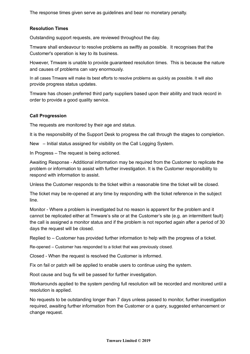The response times given serve as guidelines and bear no monetary penalty.

## **Resolution Times**

Outstanding support requests, are reviewed throughout the day.

Tmware shall endeavour to resolve problems as swiftly as possible. It recognises that the Customer's operation is key to its business.

However, Tmware is unable to provide guaranteed resolution times. This is because the nature and causes of problems can vary enormously.

In all cases Tmware will make its best efforts to resolve problems as quickly as possible. It will also provide progress status updates.

Tmware has chosen preferred third party suppliers based upon their ability and track record in order to provide a good quality service.

## **Call Progression**

The requests are monitored by their age and status.

It is the responsibility of the Support Desk to progress the call through the stages to completion.

New – Initial status assigned for visibility on the Call Logging System.

In Progress – The request is being actioned.

Awaiting Response - Additional information may be required from the Customer to replicate the problem or information to assist with further investigation. It is the Customer responsibility to respond with information to assist.

Unless the Customer responds to the ticket within a reasonable time the ticket will be closed.

The ticket may be re-opened at any time by responding with the ticket reference in the subject line.

Monitor - Where a problem is investigated but no reason is apparent for the problem and it cannot be replicated either at Tmware's site or at the Customer's site (e.g. an intermittent fault) the call is assigned a monitor status and if the problem is not reported again after a period of 30 days the request will be closed.

Replied to – Customer has provided further information to help with the progress of a ticket.

Re-opened – Customer has responded to a ticket that was previously closed.

Closed - When the request is resolved the Customer is informed.

Fix on fail or patch will be applied to enable users to continue using the system.

Root cause and bug fix will be passed for further investigation.

Workarounds applied to the system pending full resolution will be recorded and monitored until a resolution is applied.

No requests to be outstanding longer than 7 days unless passed to monitor, further investigation required, awaiting further information from the Customer or a query, suggested enhancement or change request.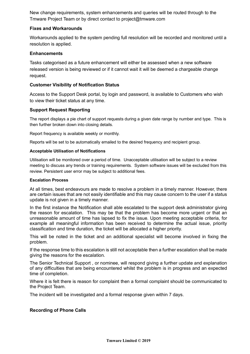New change requirements, system enhancements and queries will be routed through to the Tmware Project Team or by direct contact to project@tmware.com

## **Fixes and Workarounds**

Workarounds applied to the system pending full resolution will be recorded and monitored until a resolution is applied.

## **Enhancements**

Tasks categorised as a future enhancement will either be assessed when a new software released version is being reviewed or if it cannot wait it will be deemed a chargeable change request.

## **Customer Visibility of Notification Status**

Access to the Support Desk portal, by login and password, is available to Customers who wish to view their ticket status at any time.

## **Support Request Reporting**

The report displays a pie chart of support requests during a given date range by number and type. This is then further broken down into closing details.

Report frequency is available weekly or monthly.

Reports will be set to be automatically emailed to the desired frequency and recipient group.

## **Acceptable Utilisation of Notifications**

Utilisation will be monitored over a period of time. Unacceptable utilisation will be subject to a review meeting to discuss any trends or training requirements. System software issues will be excluded from this review. Persistent user error may be subject to additional fees.

#### **Escalation Process**

At all times, best endeavours are made to resolve a problem in a timely manner. However, there are certain issues that are not easily identifiable and this may cause concern to the user if a status update is not given in a timely manner.

In the first instance the Notification shall able escalated to the support desk administrator giving the reason for escalation. This may be that the problem has become more urgent or that an unreasonable amount of time has lapsed to fix the issue. Upon meeting acceptable criteria, for example all meaningful information has been received to determine the actual issue, priority classification and time duration, the ticket will be allocated a higher priority.

This will be noted in the ticket and an additional specialist will become involved in fixing the problem.

If the response time to this escalation is still not acceptable then a further escalation shall be made giving the reasons for the escalation.

The Senior Technical Support , or nominee, will respond giving a further update and explanation of any difficulties that are being encountered whilst the problem is in progress and an expected time of completion.

Where it is felt there is reason for complaint then a formal complaint should be communicated to the Project Team.

The incident will be investigated and a formal response given within 7 days.

## **Recording of Phone Calls**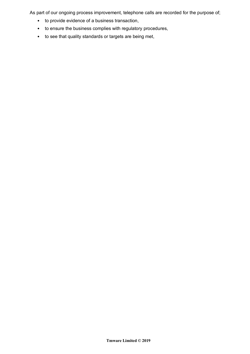As part of our ongoing process improvement, telephone calls are recorded for the purpose of;

- to provide evidence of a business transaction,
- to ensure the business complies with regulatory procedures,
- to see that quality standards or targets are being met,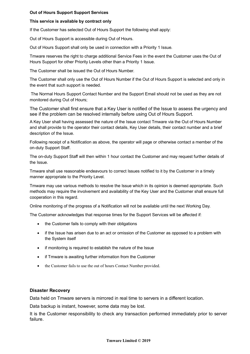## **Out of Hours Support Support Services**

#### **This service is available by contract only**

If the Customer has selected Out of Hours Support the following shall apply:

Out of Hours Support is accessible during Out of Hours.

Out of Hours Support shall only be used in connection with a Priority 1 Issue.

Tmware reserves the right to charge additional Service Fees in the event the Customer uses the Out of Hours Support for other Priority Levels other than a Priority 1 Issue.

The Customer shall be issued the Out of Hours Number.

The Customer shall only use the Out of Hours Number if the Out of Hours Support is selected and only in the event that such support is needed.

The Normal Hours Support Contact Number and the Support Email should not be used as they are not monitored during Out of Hours;

The Customer shall first ensure that a Key User is notified of the Issue to assess the urgency and see if the problem can be resolved internally before using Out of Hours Support.

A Key User shall having assessed the nature of the Issue contact Tmware via the Out of Hours Number and shall provide to the operator their contact details, Key User details, their contact number and a brief description of the Issue.

Following receipt of a Notification as above, the operator will page or otherwise contact a member of the on-duty Support Staff.

The on-duty Support Staff will then within 1 hour contact the Customer and may request further details of the Issue.

Tmware shall use reasonable endeavours to correct Issues notified to it by the Customer in a timely manner appropriate to the Priority Level.

Tmware may use various methods to resolve the Issue which in its opinion is deemed appropriate. Such methods may require the involvement and availability of the Key User and the Customer shall ensure full cooperation in this regard.

Online monitoring of the progress of a Notification will not be available until the next Working Day.

The Customer acknowledges that response times for the Support Services will be affected if:

- the Customer fails to comply with their obligations
- if the Issue has arisen due to an act or omission of the Customer as opposed to a problem with the System itself
- if monitoring is required to establish the nature of the Issue
- if Tmware is awaiting further information from the Customer
- the Customer fails to use the out of hours Contact Number provided.

#### **Disaster Recovery**

Data held on Tmware servers is mirrored in real time to servers in a different location.

Data backup is instant, however, some data may be lost.

It is the Customer responsibility to check any transaction performed immediately prior to server failure.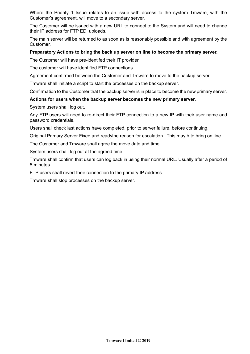Where the Priority 1 Issue relates to an issue with access to the system Tmware, with the Customer's agreement, will move to a secondary server.

The Customer will be issued with a new URL to connect to the System and will need to change their IP address for FTP EDI uploads.

The main server will be returned to as soon as is reasonably possible and with agreement by the Customer.

#### **Preparatory Actions to bring the back up server on line to become the primary server.**

The Customer will have pre-identifed their IT provider.

The customer will have identified FTP connections.

Agreement confirmed between the Customer and Tmware to move to the backup server.

Tmware shall initiate a script to start the processes on the backup server.

Confirmation to the Customer that the backup server is in place to become the new primary server.

## **Actions for users when the backup server becomes the new primary server.**

System users shall log out.

Any FTP users will need to re-direct their FTP connection to a new IP with their user name and password credentials.

Users shall check last actions have completed, prior to server failure, before continuing.

Original Primary Server Fixed and readythe reason for escalation. This may b to bring on line.

The Customer and Tmware shall agree the move date and time.

System users shall log out at the agreed time.

Tmware shall confirm that users can log back in using their normal URL. Usually after a period of 5 minutes.

FTP users shall revert their connection to the primary IP address.

Tmware shall stop processes on the backup server.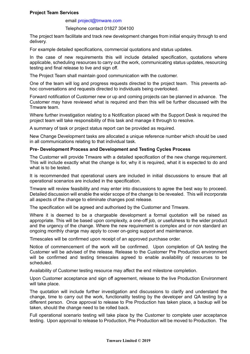## **Project Team Services**

#### email project@tmware.com

#### Telephone contact 01827 304100

The project team facilitate and track new development changes from initial enquiry through to end delivery.

For example detailed specifications, commercial quotations and status updates.

In the case of new requirements this will include detailed specification, quotations where applicable, scheduling resources to carry out the work, communicating status updates, resourcing testing and final release to live and sign off.

The Project Team shall maintain good communication with the customer.

One of the team will log and progress requests directed to the project team. This prevents adhoc conversations and requests directed to individuals being overlooked.

Forward notification of Customer new or up and coming projects can be planned in advance. The Customer may have reviewed what is required and then this will be further discussed with the Tmware team.

Where further investigation relating to a Notification placed with the Support Desk is required the project team will take responsibility of this task and manage it through to resolve.

A summary of task or project status report can be provided as required.

New Change Development tasks are allocated a unique reference number which should be used in all communications relating to that individual task.

#### **Pre- Development Process and Development and Testing Cycles Process**

The Customer will provide Tmware with a detailed specification of the new change requirement. This will include exactly what the change is for, why it is required, what it is expected to do and what is to be tested.

It is recommended that operational users are included in initial discussions to ensure that all operational scenarios are included in the specification.

Tmware will review feasibility and may enter into discussions to agree the best way to proceed. Detailed discussion will enable the wider scope of the change to be revealed. This will incorporate all aspects of the change to eliminate changes post release.

The specification will be agreed and authorised by the Customer and Tmware.

Where it is deemed to be a chargeable development a formal quotation will be raised as appropriate. This will be based upon complexity, a one-off job, or usefulness to the wider product and the urgency of the change. Where the new requirement is complex and or non standard an ongoing monthly charge may apply to cover on-going support and maintenance.

Timescales will be confirmed upon receipt of an approved purchase order.

Notice of commencement of the work will be confirmed. Upon completion of QA testing the Customer will be advised of the release. Release to the Customer Pre Production environment will be confirmed and testing timescales agreed to enable availability of resources to be scheduled.

Availability of Customer testing resource may affect the end milestone completion.

Upon Customer acceptance and sign off agreement, release to the live Production Environment will take place.

The quotation will include further investigation and discussions to clarify and understand the change, time to carry out the work, functionality testing by the developer and QA testing by a different person. Once approval to release to Pre Production has taken place, a backup will be taken, should the change need to be rolled back.

Full operational scenario testing will take place by the Customer to complete user acceptance testing. Upon approval to release to Production, Pre Production will be moved to Production. The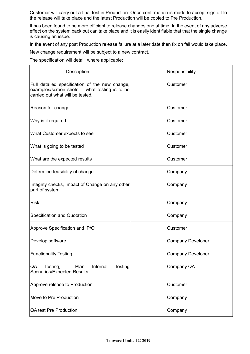Customer will carry out a final test in Production. Once confirmation is made to accept sign off to the release will take place and the latest Production will be copied to Pre Production.

It has been found to be more efficient to release changes one at time. In the event of any adverse effect on the system back out can take place and it is easily identifiable that that the single change is causing an issue.

In the event of any post Production release failure at a later date then fix on fail would take place.

New change requirement will be subject to a new contract.

The specification will detail, where applicable:

| Description                                                                                                                        | Responsibility           |
|------------------------------------------------------------------------------------------------------------------------------------|--------------------------|
| Full detailed specification of the new change,<br>examples/screen shots. what testing is to be<br>carried out what will be tested. | Customer                 |
| Reason for change                                                                                                                  | Customer                 |
| Why is it required                                                                                                                 | Customer                 |
| What Customer expects to see                                                                                                       | Customer                 |
| What is going to be tested                                                                                                         | Customer                 |
| What are the expected results                                                                                                      | Customer                 |
| Determine feasibility of change                                                                                                    | Company                  |
| Integrity checks, Impact of Change on any other<br>part of system                                                                  | Company                  |
| <b>Risk</b>                                                                                                                        | Company                  |
| <b>Specification and Quotation</b>                                                                                                 | Company                  |
| Approve Specification and P/O                                                                                                      | Customer                 |
| Develop software                                                                                                                   | <b>Company Developer</b> |
| <b>Functionality Testing</b>                                                                                                       | <b>Company Developer</b> |
| Plan<br>Internal<br>Testing<br>Testing,<br>QA<br><b>Scenarios/Expected Results</b>                                                 | Company QA               |
| Approve release to Production                                                                                                      | Customer                 |
| Move to Pre Production                                                                                                             | Company                  |
| <b>QA test Pre Production</b>                                                                                                      | Company                  |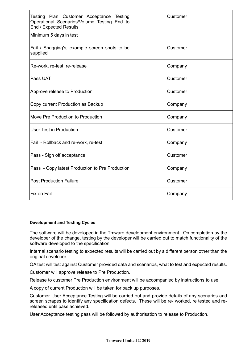| Testing Plan Customer Acceptance Testing<br>Operational Scenarios/Volume Testing End to<br>End / Expected Results | Customer |
|-------------------------------------------------------------------------------------------------------------------|----------|
| Minimum 5 days in test                                                                                            |          |
| Fail / Snagging's, example screen shots to be<br>supplied                                                         | Customer |
| Re-work, re-test, re-release                                                                                      | Company  |
| Pass UAT                                                                                                          | Customer |
| Approve release to Production                                                                                     | Customer |
| Copy current Production as Backup                                                                                 | Company  |
| Move Pre Production to Production                                                                                 | Company  |
| User Test in Production                                                                                           | Customer |
| Fail - Rollback and re-work, re-test                                                                              | Company  |
| Pass - Sign off acceptance                                                                                        | Customer |
| Pass - Copy latest Production to Pre Production                                                                   | Company  |
| <b>Post Production Failure</b>                                                                                    | Customer |
| Fix on Fail                                                                                                       | Company  |

#### **Development and Testing Cycles**

The software will be developed in the Tmware development environment. On completion by the developer of the change, testing by the developer will be carried out to match functionality of the software developed to the specification.

Internal scenario testing to expected results will be carried out by a different person other than the original developer.

QA test will test against Customer provided data and scenarios, what to test and expected results.

Customer will approve release to Pre Production.

Release to customer Pre Production environment will be accompanied by instructions to use.

A copy of current Production will be taken for back up purposes.

Customer User Acceptance Testing will be carried out and provide details of any scenarios and screen scrapes to identify any specification defects. These will be re- worked, re tested and rereleased until pass achieved.

User Acceptance testing pass will be followed by authorisation to release to Production.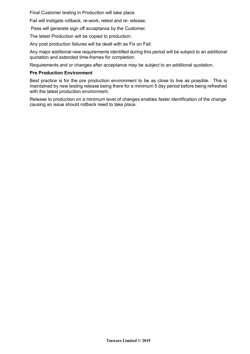Final Customer testing in Production will take place.

Fail will instigate rollback, re-work, retest and re- release.

Pass will generate sign off acceptance by the Customer.

The latest Production will be copied to production.

Any post production failures will be dealt with as Fix on Fail.

Any major additional new requirements identified during this period will be subject to an additional quotation and extended time-frames for completion.

Requirements and or changes after acceptance may be subject to an additional quotation.

#### **Pre Production Environment**

Best practice is for the pre production environment to be as close to live as possible. This is maintained by new testing release being there for a minimum 5 day period before being refreshed with the latest production environment.

Release to production on a minimum level of changes enables faster identification of the change causing an issue should rollback need to take place.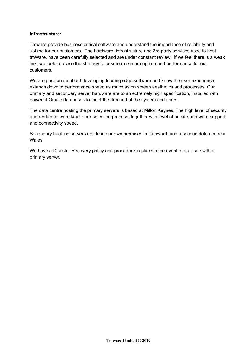## **Infrastructure:**

Tmware provide business critical software and understand the importance of reliability and uptime for our customers. The hardware, infrastructure and 3rd party services used to host tmWare, have been carefully selected and are under constant review. If we feel there is a weak link, we look to revise the strategy to ensure maximum uptime and performance for our customers.

We are passionate about developing leading edge software and know the user experience extends down to performance speed as much as on screen aesthetics and processes. Our primary and secondary server hardware are to an extremely high specification, installed with powerful Oracle databases to meet the demand of the system and users.

The data centre hosting the primary servers is based at Milton Keynes. The high level of security and resilience were key to our selection process, together with level of on site hardware support and connectivity speed.

Secondary back up servers reside in our own premises in Tamworth and a second data centre in Wales.

We have a Disaster Recovery policy and procedure in place in the event of an issue with a primary server.